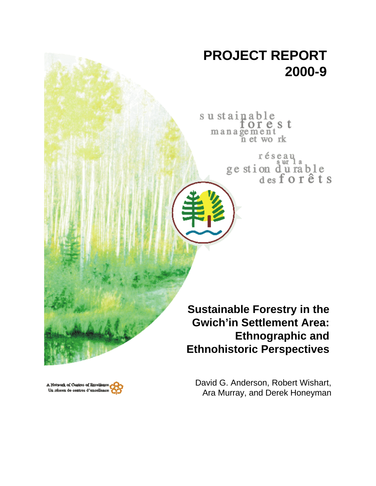# **PROJECT REPORT 2000-9**

sustainable orest management n et work

> réseau ge stion durable<br>desforêts

**Sustainable Forestry in the Gwich'in Settlement Area: Ethnographic and Ethnohistoric Perspectives**

A Network of Centres of Breelien Un réseau de centres d'excelles

David G. Anderson, Robert Wishart, Ara Murray, and Derek Honeyman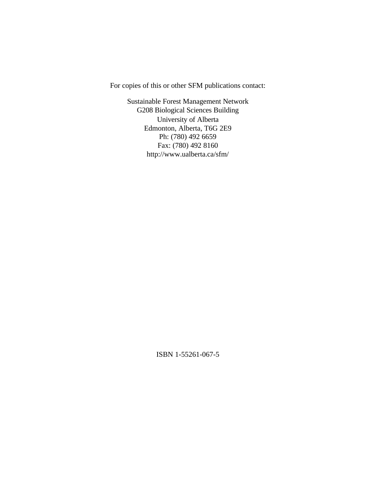For copies of this or other SFM publications contact:

Sustainable Forest Management Network G208 Biological Sciences Building University of Alberta Edmonton, Alberta, T6G 2E9 Ph: (780) 492 6659 Fax: (780) 492 8160 http://www.ualberta.ca/sfm/

ISBN 1-55261-067-5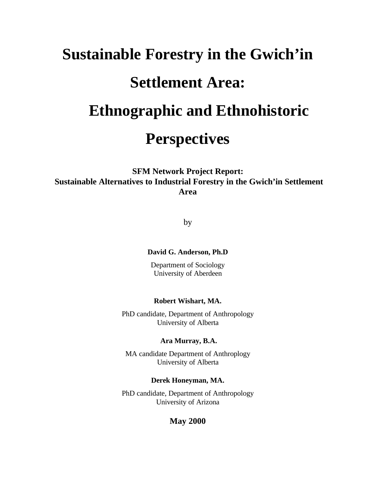# **Sustainable Forestry in the Gwich'in Settlement Area: Ethnographic and Ethnohistoric Perspectives**

**SFM Network Project Report: Sustainable Alternatives to Industrial Forestry in the Gwich'in Settlement Area**

by

#### **David G. Anderson, Ph.D**

Department of Sociology University of Aberdeen

#### **Robert Wishart, MA.**

PhD candidate, Department of Anthropology University of Alberta

#### **Ara Murray, B.A.**

MA candidate Department of Anthroplogy University of Alberta

#### **Derek Honeyman, MA.**

PhD candidate, Department of Anthropology University of Arizona

# **May 2000**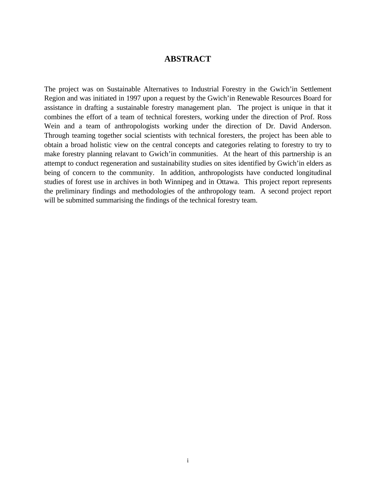# **ABSTRACT**

The project was on Sustainable Alternatives to Industrial Forestry in the Gwich'in Settlement Region and was initiated in 1997 upon a request by the Gwich'in Renewable Resources Board for assistance in drafting a sustainable forestry management plan. The project is unique in that it combines the effort of a team of technical foresters, working under the direction of Prof. Ross Wein and a team of anthropologists working under the direction of Dr. David Anderson. Through teaming together social scientists with technical foresters, the project has been able to obtain a broad holistic view on the central concepts and categories relating to forestry to try to make forestry planning relavant to Gwich'in communities. At the heart of this partnership is an attempt to conduct regeneration and sustainability studies on sites identified by Gwich'in elders as being of concern to the community. In addition, anthropologists have conducted longitudinal studies of forest use in archives in both Winnipeg and in Ottawa. This project report represents the preliminary findings and methodologies of the anthropology team. A second project report will be submitted summarising the findings of the technical forestry team.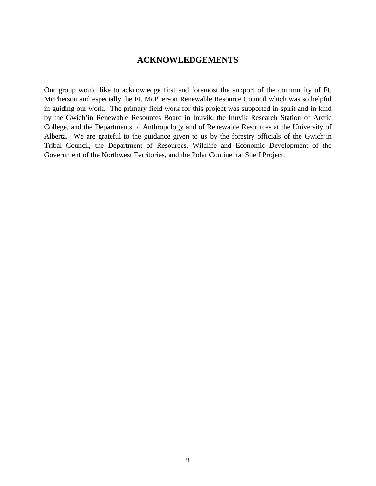# **ACKNOWLEDGEMENTS**

Our group would like to acknowledge first and foremost the support of the community of Ft. McPherson and especially the Ft. McPherson Renewable Resource Council which was so helpful in guiding our work. The primary field work for this project was supported in spirit and in kind by the Gwich'in Renewable Resources Board in Inuvik, the Inuvik Research Station of Arctic College, and the Departments of Anthropology and of Renewable Resources at the University of Alberta. We are grateful to the guidance given to us by the forestry officials of the Gwich'in Tribal Council, the Department of Resources, Wildlife and Economic Development of the Government of the Northwest Territories, and the Polar Continental Shelf Project.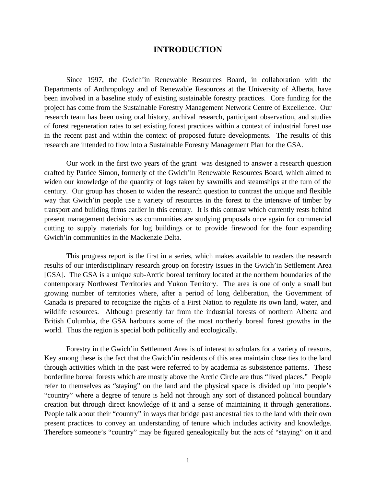#### **INTRODUCTION**

Since 1997, the Gwich'in Renewable Resources Board, in collaboration with the Departments of Anthropology and of Renewable Resources at the University of Alberta, have been involved in a baseline study of existing sustainable forestry practices. Core funding for the project has come from the Sustainable Forestry Management Network Centre of Excellence. Our research team has been using oral history, archival research, participant observation, and studies of forest regeneration rates to set existing forest practices within a context of industrial forest use in the recent past and within the context of proposed future developments. The results of this research are intended to flow into a Sustainable Forestry Management Plan for the GSA.

Our work in the first two years of the grant was designed to answer a research question drafted by Patrice Simon, formerly of the Gwich'in Renewable Resources Board, which aimed to widen our knowledge of the quantity of logs taken by sawmills and steamships at the turn of the century. Our group has chosen to widen the research question to contrast the unique and flexible way that Gwich'in people use a variety of resources in the forest to the intensive of timber by transport and building firms earlier in this century. It is this contrast which currently rests behind present management decisions as communities are studying proposals once again for commercial cutting to supply materials for log buildings or to provide firewood for the four expanding Gwich'in communities in the Mackenzie Delta.

This progress report is the first in a series, which makes available to readers the research results of our interdisciplinary research group on forestry issues in the Gwich'in Settlement Area [GSA]. The GSA is a unique sub-Arctic boreal territory located at the northern boundaries of the contemporary Northwest Territories and Yukon Territory. The area is one of only a small but growing number of territories where, after a period of long deliberation, the Government of Canada is prepared to recognize the rights of a First Nation to regulate its own land, water, and wildlife resources. Although presently far from the industrial forests of northern Alberta and British Columbia, the GSA harbours some of the most northerly boreal forest growths in the world. Thus the region is special both politically and ecologically.

Forestry in the Gwich'in Settlement Area is of interest to scholars for a variety of reasons. Key among these is the fact that the Gwich'in residents of this area maintain close ties to the land through activities which in the past were referred to by academia as subsistence patterns. These borderline boreal forests which are mostly above the Arctic Circle are thus "lived places." People refer to themselves as "staying" on the land and the physical space is divided up into people's "country" where a degree of tenure is held not through any sort of distanced political boundary creation but through direct knowledge of it and a sense of maintaining it through generations. People talk about their "country" in ways that bridge past ancestral ties to the land with their own present practices to convey an understanding of tenure which includes activity and knowledge. Therefore someone's "country" may be figured genealogically but the acts of "staying" on it and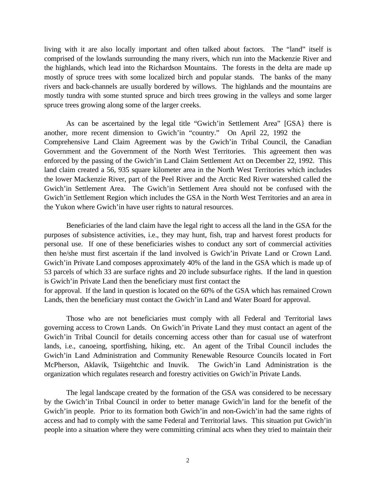living with it are also locally important and often talked about factors. The "land" itself is comprised of the lowlands surrounding the many rivers, which run into the Mackenzie River and the highlands, which lead into the Richardson Mountains. The forests in the delta are made up mostly of spruce trees with some localized birch and popular stands. The banks of the many rivers and back-channels are usually bordered by willows. The highlands and the mountains are mostly tundra with some stunted spruce and birch trees growing in the valleys and some larger spruce trees growing along some of the larger creeks.

As can be ascertained by the legal title "Gwich'in Settlement Area" [GSA} there is another, more recent dimension to Gwich'in "country." On April 22, 1992 the Comprehensive Land Claim Agreement was by the Gwich'in Tribal Council, the Canadian Government and the Government of the North West Territories. This agreement then was enforced by the passing of the Gwich'in Land Claim Settlement Act on December 22, 1992. This land claim created a 56, 935 square kilometer area in the North West Territories which includes the lower Mackenzie River, part of the Peel River and the Arctic Red River watershed called the Gwich'in Settlement Area. The Gwich'in Settlement Area should not be confused with the Gwich'in Settlement Region which includes the GSA in the North West Territories and an area in the Yukon where Gwich'in have user rights to natural resources.

Beneficiaries of the land claim have the legal right to access all the land in the GSA for the purposes of subsistence activities, i.e., they may hunt, fish, trap and harvest forest products for personal use. If one of these beneficiaries wishes to conduct any sort of commercial activities then he/she must first ascertain if the land involved is Gwich'in Private Land or Crown Land. Gwich'in Private Land composes approximately 40% of the land in the GSA which is made up of 53 parcels of which 33 are surface rights and 20 include subsurface rights. If the land in question is Gwich'in Private Land then the beneficiary must first contact the

for approval. If the land in question is located on the 60% of the GSA which has remained Crown Lands, then the beneficiary must contact the Gwich'in Land and Water Board for approval.

Those who are not beneficiaries must comply with all Federal and Territorial laws governing access to Crown Lands. On Gwich'in Private Land they must contact an agent of the Gwich'in Tribal Council for details concerning access other than for casual use of waterfront lands, i.e., canoeing, sportfishing, hiking, etc. An agent of the Tribal Council includes the Gwich'in Land Administration and Community Renewable Resource Councils located in Fort McPherson, Aklavik, Tsiigehtchic and Inuvik. The Gwich'in Land Administration is the organization which regulates research and forestry activities on Gwich'in Private Lands.

The legal landscape created by the formation of the GSA was considered to be necessary by the Gwich'in Tribal Council in order to better manage Gwich'in land for the benefit of the Gwich'in people. Prior to its formation both Gwich'in and non-Gwich'in had the same rights of access and had to comply with the same Federal and Territorial laws. This situation put Gwich'in people into a situation where they were committing criminal acts when they tried to maintain their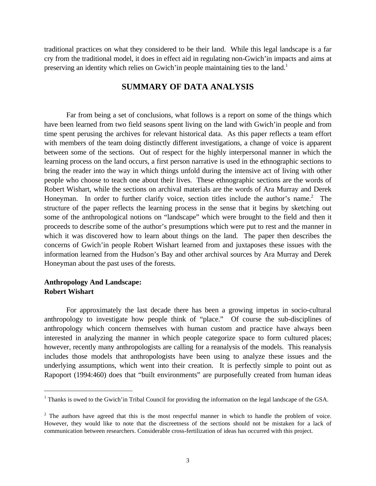traditional practices on what they considered to be their land. While this legal landscape is a far cry from the traditional model, it does in effect aid in regulating non-Gwich'in impacts and aims at preserving an identity which relies on Gwich'in people maintaining ties to the land.<sup>1</sup>

# **SUMMARY OF DATA ANALYSIS**

Far from being a set of conclusions, what follows is a report on some of the things which have been learned from two field seasons spent living on the land with Gwich'in people and from time spent perusing the archives for relevant historical data. As this paper reflects a team effort with members of the team doing distinctly different investigations, a change of voice is apparent between some of the sections. Out of respect for the highly interpersonal manner in which the learning process on the land occurs, a first person narrative is used in the ethnographic sections to bring the reader into the way in which things unfold during the intensive act of living with other people who choose to teach one about their lives. These ethnographic sections are the words of Robert Wishart, while the sections on archival materials are the words of Ara Murray and Derek Honeyman. In order to further clarify voice, section titles include the author's name.<sup>2</sup> The structure of the paper reflects the learning process in the sense that it begins by sketching out some of the anthropological notions on "landscape" which were brought to the field and then it proceeds to describe some of the author's presumptions which were put to rest and the manner in which it was discovered how to learn about things on the land. The paper then describes the concerns of Gwich'in people Robert Wishart learned from and juxtaposes these issues with the information learned from the Hudson's Bay and other archival sources by Ara Murray and Derek Honeyman about the past uses of the forests.

# **Anthropology And Landscape: Robert Wishart**

 $\overline{a}$ 

For approximately the last decade there has been a growing impetus in socio-cultural anthropology to investigate how people think of "place." Of course the sub-disciplines of anthropology which concern themselves with human custom and practice have always been interested in analyzing the manner in which people categorize space to form cultured places; however, recently many anthropologists are calling for a reanalysis of the models. This reanalysis includes those models that anthropologists have been using to analyze these issues and the underlying assumptions, which went into their creation. It is perfectly simple to point out as Rapoport (1994:460) does that "built environments" are purposefully created from human ideas

<sup>&</sup>lt;sup>1</sup> Thanks is owed to the Gwich'in Tribal Council for providing the information on the legal landscape of the GSA.

 $2$  The authors have agreed that this is the most respectful manner in which to handle the problem of voice. However, they would like to note that the discreetness of the sections should not be mistaken for a lack of communication between researchers. Considerable cross-fertilization of ideas has occurred with this project.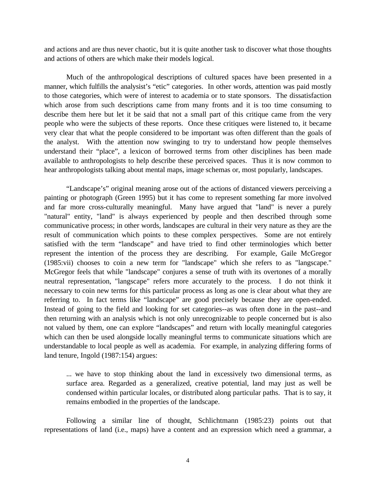and actions and are thus never chaotic, but it is quite another task to discover what those thoughts and actions of others are which make their models logical.

Much of the anthropological descriptions of cultured spaces have been presented in a manner, which fulfills the analysist's "etic" categories. In other words, attention was paid mostly to those categories, which were of interest to academia or to state sponsors. The dissatisfaction which arose from such descriptions came from many fronts and it is too time consuming to describe them here but let it be said that not a small part of this critique came from the very people who were the subjects of these reports. Once these critiques were listened to, it became very clear that what the people considered to be important was often different than the goals of the analyst. With the attention now swinging to try to understand how people themselves understand their "place", a lexicon of borrowed terms from other disciplines has been made available to anthropologists to help describe these perceived spaces. Thus it is now common to hear anthropologists talking about mental maps, image schemas or, most popularly, landscapes.

"Landscape's" original meaning arose out of the actions of distanced viewers perceiving a painting or photograph (Green 1995) but it has come to represent something far more involved and far more cross-culturally meaningful. Many have argued that "land" is never a purely "natural" entity, "land" is always experienced by people and then described through some communicative process; in other words, landscapes are cultural in their very nature as they are the result of communication which points to these complex perspectives. Some are not entirely satisfied with the term "landscape" and have tried to find other terminologies which better represent the intention of the process they are describing. For example, Gaile McGregor (1985:vii) chooses to coin a new term for "landscape" which she refers to as "langscape." McGregor feels that while "landscape" conjures a sense of truth with its overtones of a morally neutral representation, "langscape" refers more accurately to the process. I do not think it necessary to coin new terms for this particular process as long as one is clear about what they are referring to. In fact terms like "landscape" are good precisely because they are open-ended. Instead of going to the field and looking for set categories--as was often done in the past--and then returning with an analysis which is not only unrecognizable to people concerned but is also not valued by them, one can explore "landscapes" and return with locally meaningful categories which can then be used alongside locally meaningful terms to communicate situations which are understandable to local people as well as academia. For example, in analyzing differing forms of land tenure, Ingold (1987:154) argues:

... we have to stop thinking about the land in excessively two dimensional terms, as surface area. Regarded as a generalized, creative potential, land may just as well be condensed within particular locales, or distributed along particular paths. That is to say, it remains embodied in the properties of the landscape.

Following a similar line of thought, Schlichtmann (1985:23) points out that representations of land (i.e., maps) have a content and an expression which need a grammar, a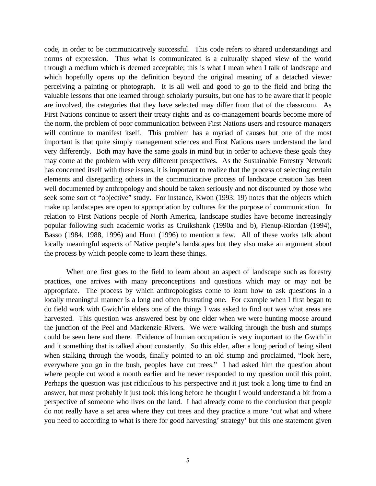code, in order to be communicatively successful. This code refers to shared understandings and norms of expression. Thus what is communicated is a culturally shaped view of the world through a medium which is deemed acceptable; this is what I mean when I talk of landscape and which hopefully opens up the definition beyond the original meaning of a detached viewer perceiving a painting or photograph. It is all well and good to go to the field and bring the valuable lessons that one learned through scholarly pursuits, but one has to be aware that if people are involved, the categories that they have selected may differ from that of the classroom. As First Nations continue to assert their treaty rights and as co-management boards become more of the norm, the problem of poor communication between First Nations users and resource managers will continue to manifest itself. This problem has a myriad of causes but one of the most important is that quite simply management sciences and First Nations users understand the land very differently. Both may have the same goals in mind but in order to achieve these goals they may come at the problem with very different perspectives. As the Sustainable Forestry Network has concerned itself with these issues, it is important to realize that the process of selecting certain elements and disregarding others in the communicative process of landscape creation has been well documented by anthropology and should be taken seriously and not discounted by those who seek some sort of "objective" study. For instance, Kwon (1993: 19) notes that the objects which make up landscapes are open to appropriation by cultures for the purpose of communication. In relation to First Nations people of North America, landscape studies have become increasingly popular following such academic works as Cruikshank (1990a and b), Fienup-Riordan (1994), Basso (1984, 1988, 1996) and Hunn (1996) to mention a few. All of these works talk about locally meaningful aspects of Native people's landscapes but they also make an argument about the process by which people come to learn these things.

When one first goes to the field to learn about an aspect of landscape such as forestry practices, one arrives with many preconceptions and questions which may or may not be appropriate. The process by which anthropologists come to learn how to ask questions in a locally meaningful manner is a long and often frustrating one. For example when I first began to do field work with Gwich'in elders one of the things I was asked to find out was what areas are harvested. This question was answered best by one elder when we were hunting moose around the junction of the Peel and Mackenzie Rivers. We were walking through the bush and stumps could be seen here and there. Evidence of human occupation is very important to the Gwich'in and it something that is talked about constantly. So this elder, after a long period of being silent when stalking through the woods, finally pointed to an old stump and proclaimed, "look here, everywhere you go in the bush, peoples have cut trees." I had asked him the question about where people cut wood a month earlier and he never responded to my question until this point. Perhaps the question was just ridiculous to his perspective and it just took a long time to find an answer, but most probably it just took this long before he thought I would understand a bit from a perspective of someone who lives on the land. I had already come to the conclusion that people do not really have a set area where they cut trees and they practice a more 'cut what and where you need to according to what is there for good harvesting' strategy' but this one statement given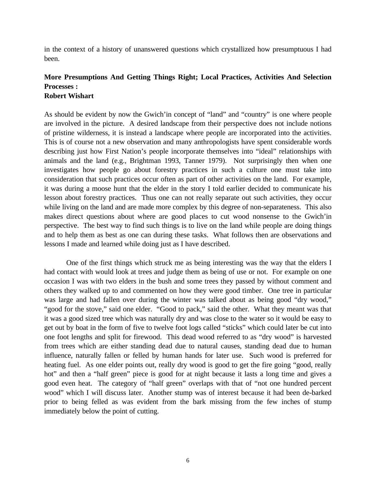in the context of a history of unanswered questions which crystallized how presumptuous I had been.

#### **More Presumptions And Getting Things Right; Local Practices, Activities And Selection Processes : Robert Wishart**

As should be evident by now the Gwich'in concept of "land" and "country" is one where people are involved in the picture. A desired landscape from their perspective does not include notions of pristine wilderness, it is instead a landscape where people are incorporated into the activities. This is of course not a new observation and many anthropologists have spent considerable words describing just how First Nation's people incorporate themselves into "ideal" relationships with animals and the land (e.g., Brightman 1993, Tanner 1979). Not surprisingly then when one investigates how people go about forestry practices in such a culture one must take into consideration that such practices occur often as part of other activities on the land. For example, it was during a moose hunt that the elder in the story I told earlier decided to communicate his lesson about forestry practices. Thus one can not really separate out such activities, they occur while living on the land and are made more complex by this degree of non-separateness. This also makes direct questions about where are good places to cut wood nonsense to the Gwich'in perspective. The best way to find such things is to live on the land while people are doing things and to help them as best as one can during these tasks. What follows then are observations and lessons I made and learned while doing just as I have described.

One of the first things which struck me as being interesting was the way that the elders I had contact with would look at trees and judge them as being of use or not. For example on one occasion I was with two elders in the bush and some trees they passed by without comment and others they walked up to and commented on how they were good timber. One tree in particular was large and had fallen over during the winter was talked about as being good "dry wood," "good for the stove," said one elder. "Good to pack," said the other. What they meant was that it was a good sized tree which was naturally dry and was close to the water so it would be easy to get out by boat in the form of five to twelve foot logs called "sticks" which could later be cut into one foot lengths and split for firewood. This dead wood referred to as "dry wood" is harvested from trees which are either standing dead due to natural causes, standing dead due to human influence, naturally fallen or felled by human hands for later use. Such wood is preferred for heating fuel. As one elder points out, really dry wood is good to get the fire going "good, really hot" and then a "half green" piece is good for at night because it lasts a long time and gives a good even heat. The category of "half green" overlaps with that of "not one hundred percent wood" which I will discuss later. Another stump was of interest because it had been de-barked prior to being felled as was evident from the bark missing from the few inches of stump immediately below the point of cutting.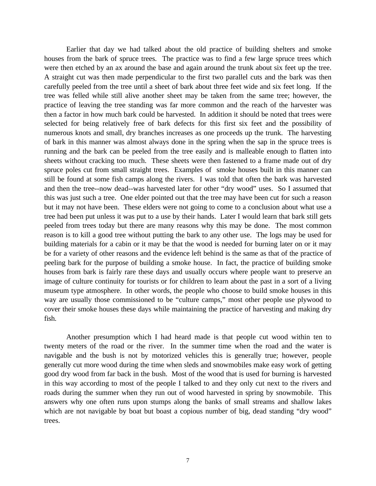Earlier that day we had talked about the old practice of building shelters and smoke houses from the bark of spruce trees. The practice was to find a few large spruce trees which were then etched by an ax around the base and again around the trunk about six feet up the tree. A straight cut was then made perpendicular to the first two parallel cuts and the bark was then carefully peeled from the tree until a sheet of bark about three feet wide and six feet long. If the tree was felled while still alive another sheet may be taken from the same tree; however, the practice of leaving the tree standing was far more common and the reach of the harvester was then a factor in how much bark could be harvested. In addition it should be noted that trees were selected for being relatively free of bark defects for this first six feet and the possibility of numerous knots and small, dry branches increases as one proceeds up the trunk. The harvesting of bark in this manner was almost always done in the spring when the sap in the spruce trees is running and the bark can be peeled from the tree easily and is malleable enough to flatten into sheets without cracking too much. These sheets were then fastened to a frame made out of dry spruce poles cut from small straight trees. Examples of smoke houses built in this manner can still be found at some fish camps along the rivers. I was told that often the bark was harvested and then the tree--now dead--was harvested later for other "dry wood" uses. So I assumed that this was just such a tree. One elder pointed out that the tree may have been cut for such a reason but it may not have been. These elders were not going to come to a conclusion about what use a tree had been put unless it was put to a use by their hands. Later I would learn that bark still gets peeled from trees today but there are many reasons why this may be done. The most common reason is to kill a good tree without putting the bark to any other use. The logs may be used for building materials for a cabin or it may be that the wood is needed for burning later on or it may be for a variety of other reasons and the evidence left behind is the same as that of the practice of peeling bark for the purpose of building a smoke house. In fact, the practice of building smoke houses from bark is fairly rare these days and usually occurs where people want to preserve an image of culture continuity for tourists or for children to learn about the past in a sort of a living museum type atmosphere. In other words, the people who choose to build smoke houses in this way are usually those commissioned to be "culture camps," most other people use plywood to cover their smoke houses these days while maintaining the practice of harvesting and making dry fish.

Another presumption which I had heard made is that people cut wood within ten to twenty meters of the road or the river. In the summer time when the road and the water is navigable and the bush is not by motorized vehicles this is generally true; however, people generally cut more wood during the time when sleds and snowmobiles make easy work of getting good dry wood from far back in the bush. Most of the wood that is used for burning is harvested in this way according to most of the people I talked to and they only cut next to the rivers and roads during the summer when they run out of wood harvested in spring by snowmobile. This answers why one often runs upon stumps along the banks of small streams and shallow lakes which are not navigable by boat but boast a copious number of big, dead standing "dry wood" trees.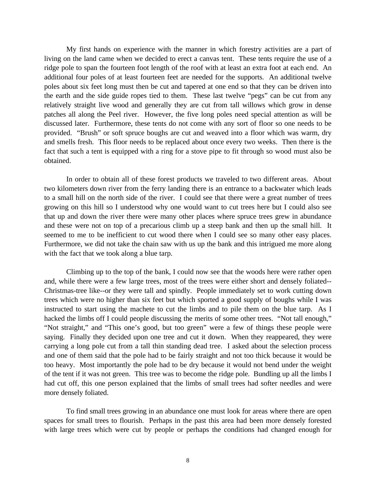My first hands on experience with the manner in which forestry activities are a part of living on the land came when we decided to erect a canvas tent. These tents require the use of a ridge pole to span the fourteen foot length of the roof with at least an extra foot at each end. An additional four poles of at least fourteen feet are needed for the supports. An additional twelve poles about six feet long must then be cut and tapered at one end so that they can be driven into the earth and the side guide ropes tied to them. These last twelve "pegs" can be cut from any relatively straight live wood and generally they are cut from tall willows which grow in dense patches all along the Peel river. However, the five long poles need special attention as will be discussed later. Furthermore, these tents do not come with any sort of floor so one needs to be provided. "Brush" or soft spruce boughs are cut and weaved into a floor which was warm, dry and smells fresh. This floor needs to be replaced about once every two weeks. Then there is the fact that such a tent is equipped with a ring for a stove pipe to fit through so wood must also be obtained.

In order to obtain all of these forest products we traveled to two different areas. About two kilometers down river from the ferry landing there is an entrance to a backwater which leads to a small hill on the north side of the river. I could see that there were a great number of trees growing on this hill so I understood why one would want to cut trees here but I could also see that up and down the river there were many other places where spruce trees grew in abundance and these were not on top of a precarious climb up a steep bank and then up the small hill. It seemed to me to be inefficient to cut wood there when I could see so many other easy places. Furthermore, we did not take the chain saw with us up the bank and this intrigued me more along with the fact that we took along a blue tarp.

Climbing up to the top of the bank, I could now see that the woods here were rather open and, while there were a few large trees, most of the trees were either short and densely foliated-- Christmas-tree like--or they were tall and spindly. People immediately set to work cutting down trees which were no higher than six feet but which sported a good supply of boughs while I was instructed to start using the machete to cut the limbs and to pile them on the blue tarp. As I hacked the limbs off I could people discussing the merits of some other trees. "Not tall enough," "Not straight," and "This one's good, but too green" were a few of things these people were saying. Finally they decided upon one tree and cut it down. When they reappeared, they were carrying a long pole cut from a tall thin standing dead tree. I asked about the selection process and one of them said that the pole had to be fairly straight and not too thick because it would be too heavy. Most importantly the pole had to be dry because it would not bend under the weight of the tent if it was not green. This tree was to become the ridge pole. Bundling up all the limbs I had cut off, this one person explained that the limbs of small trees had softer needles and were more densely foliated.

To find small trees growing in an abundance one must look for areas where there are open spaces for small trees to flourish. Perhaps in the past this area had been more densely forested with large trees which were cut by people or perhaps the conditions had changed enough for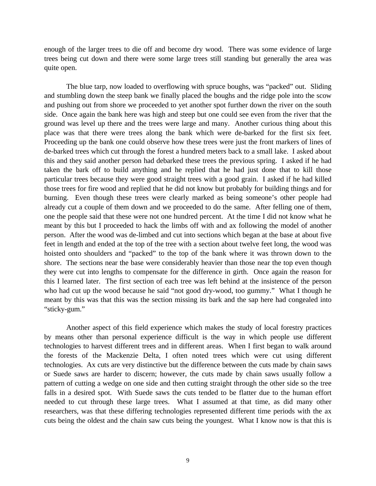enough of the larger trees to die off and become dry wood. There was some evidence of large trees being cut down and there were some large trees still standing but generally the area was quite open.

The blue tarp, now loaded to overflowing with spruce boughs, was "packed" out. Sliding and stumbling down the steep bank we finally placed the boughs and the ridge pole into the scow and pushing out from shore we proceeded to yet another spot further down the river on the south side. Once again the bank here was high and steep but one could see even from the river that the ground was level up there and the trees were large and many. Another curious thing about this place was that there were trees along the bank which were de-barked for the first six feet. Proceeding up the bank one could observe how these trees were just the front markers of lines of de-barked trees which cut through the forest a hundred meters back to a small lake. I asked about this and they said another person had debarked these trees the previous spring. I asked if he had taken the bark off to build anything and he replied that he had just done that to kill those particular trees because they were good straight trees with a good grain. I asked if he had killed those trees for fire wood and replied that he did not know but probably for building things and for burning. Even though these trees were clearly marked as being someone's other people had already cut a couple of them down and we proceeded to do the same. After felling one of them, one the people said that these were not one hundred percent. At the time I did not know what he meant by this but I proceeded to hack the limbs off with and ax following the model of another person. After the wood was de-limbed and cut into sections which began at the base at about five feet in length and ended at the top of the tree with a section about twelve feet long, the wood was hoisted onto shoulders and "packed" to the top of the bank where it was thrown down to the shore. The sections near the base were considerably heavier than those near the top even though they were cut into lengths to compensate for the difference in girth. Once again the reason for this I learned later. The first section of each tree was left behind at the insistence of the person who had cut up the wood because he said "not good dry-wood, too gummy." What I though he meant by this was that this was the section missing its bark and the sap here had congealed into "sticky-gum."

Another aspect of this field experience which makes the study of local forestry practices by means other than personal experience difficult is the way in which people use different technologies to harvest different trees and in different areas. When I first began to walk around the forests of the Mackenzie Delta, I often noted trees which were cut using different technologies. Ax cuts are very distinctive but the difference between the cuts made by chain saws or Suede saws are harder to discern; however, the cuts made by chain saws usually follow a pattern of cutting a wedge on one side and then cutting straight through the other side so the tree falls in a desired spot. With Suede saws the cuts tended to be flatter due to the human effort needed to cut through these large trees. What I assumed at that time, as did many other researchers, was that these differing technologies represented different time periods with the ax cuts being the oldest and the chain saw cuts being the youngest. What I know now is that this is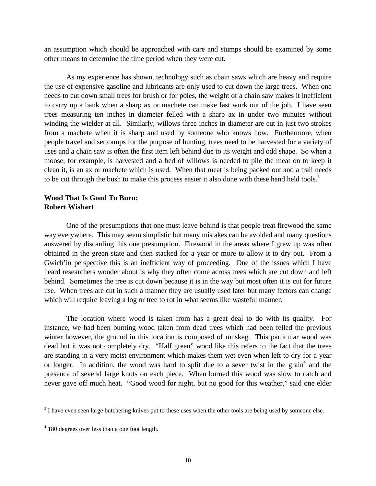an assumption which should be approached with care and stumps should be examined by some other means to determine the time period when they were cut.

As my experience has shown, technology such as chain saws which are heavy and require the use of expensive gasoline and lubricants are only used to cut down the large trees. When one needs to cut down small trees for brush or for poles, the weight of a chain saw makes it inefficient to carry up a bank when a sharp ax or machete can make fast work out of the job. I have seen trees measuring ten inches in diameter felled with a sharp ax in under two minutes without winding the wielder at all. Similarly, willows three inches in diameter are cut in just two strokes from a machete when it is sharp and used by someone who knows how. Furthermore, when people travel and set camps for the purpose of hunting, trees need to be harvested for a variety of uses and a chain saw is often the first item left behind due to its weight and odd shape. So when a moose, for example, is harvested and a bed of willows is needed to pile the meat on to keep it clean it, is an ax or machete which is used. When that meat is being packed out and a trail needs to be cut through the bush to make this process easier it also done with these hand held tools.<sup>3</sup>

#### **Wood That Is Good To Burn: Robert Wishart**

One of the presumptions that one must leave behind is that people treat firewood the same way everywhere. This may seem simplistic but many mistakes can be avoided and many questions answered by discarding this one presumption. Firewood in the areas where I grew up was often obtained in the green state and then stacked for a year or more to allow it to dry out. From a Gwich'in perspective this is an inefficient way of proceeding. One of the issues which I have heard researchers wonder about is why they often come across trees which are cut down and left behind. Sometimes the tree is cut down because it is in the way but most often it is cut for future use. When trees are cut in such a manner they are usually used later but many factors can change which will require leaving a log or tree to rot in what seems like wasteful manner.

The location where wood is taken from has a great deal to do with its quality. For instance, we had been burning wood taken from dead trees which had been felled the previous winter however, the ground in this location is composed of muskeg. This particular wood was dead but it was not completely dry. "Half green" wood like this refers to the fact that the trees are standing in a very moist environment which makes them wet even when left to dry for a year or longer. In addition, the wood was hard to split due to a sever twist in the grain<sup>4</sup> and the presence of several large knots on each piece. When burned this wood was slow to catch and never gave off much heat. "Good wood for night, but no good for this weather," said one elder

 $\overline{a}$ 

 $3<sup>3</sup>$  I have even seen large butchering knives put to these uses when the other tools are being used by someone else.

<sup>&</sup>lt;sup>4</sup> 180 degrees over less than a one foot length.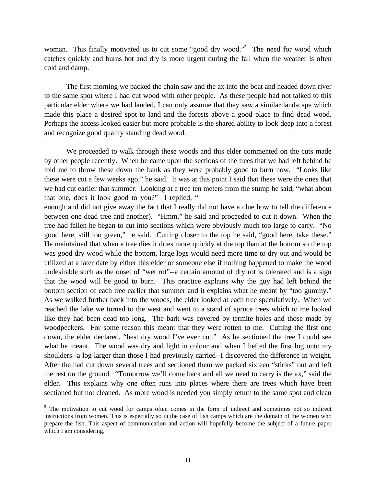woman. This finally motivated us to cut some "good dry wood."<sup>5</sup> The need for wood which catches quickly and burns hot and dry is more urgent during the fall when the weather is often cold and damp.

The first morning we packed the chain saw and the ax into the boat and headed down river to the same spot where I had cut wood with other people. As these people had not talked to this particular elder where we had landed, I can only assume that they saw a similar landscape which made this place a desired spot to land and the forests above a good place to find dead wood. Perhaps the access looked easier but more probable is the shared ability to look deep into a forest and recognize good quality standing dead wood.

We proceeded to walk through these woods and this elder commented on the cuts made by other people recently. When he came upon the sections of the trees that we had left behind he told me to throw these down the bank as they were probably good to burn now. "Looks like these were cut a few weeks ago," he said. It was at this point I said that these were the ones that we had cut earlier that summer. Looking at a tree ten meters from the stump he said, "what about that one, does it look good to you?" I replied, "

enough and did not give away the fact that I really did not have a clue how to tell the difference between one dead tree and another). "Hmm," he said and proceeded to cut it down. When the tree had fallen he began to cut into sections which were obviously much too large to carry. "No good here, still too green," he said. Cutting closer to the top he said, "good here, take these." He maintained that when a tree dies it dries more quickly at the top than at the bottom so the top was good dry wood while the bottom, large logs would need more time to dry out and would be utilized at a later date by either this elder or someone else if nothing happened to make the wood undesirable such as the onset of "wet rot"--a certain amount of dry rot is tolerated and is a sign that the wood will be good to burn. This practice explains why the guy had left behind the bottom section of each tree earlier that summer and it explains what he meant by "too gummy." As we walked further back into the woods, the elder looked at each tree speculatively. When we reached the lake we turned to the west and went to a stand of spruce trees which to me looked like they had been dead too long. The bark was covered by termite holes and those made by woodpeckers. For some reason this meant that they were rotten to me. Cutting the first one down, the elder declared, "best dry wood I've ever cut." As he sectioned the tree I could see what he meant. The wood was dry and light in colour and when I hefted the first log onto my shoulders--a log larger than those I had previously carried--I discovered the difference in weight. After the had cut down several trees and sectioned them we packed sixteen "sticks" out and left the rest on the ground. "Tomorrow we'll come back and all we need to carry is the ax," said the elder. This explains why one often runs into places where there are trees which have been sectioned but not cleaned. As more wood is needed you simply return to the same spot and clean

-

<sup>&</sup>lt;sup>5</sup> The motivation to cut wood for camps often comes in the form of indirect and sometimes not so indirect instructions from women. This is especially so in the case of fish camps which are the domain of the women who prepare the fish. This aspect of communication and action will hopefully become the subject of a future paper which I am considering.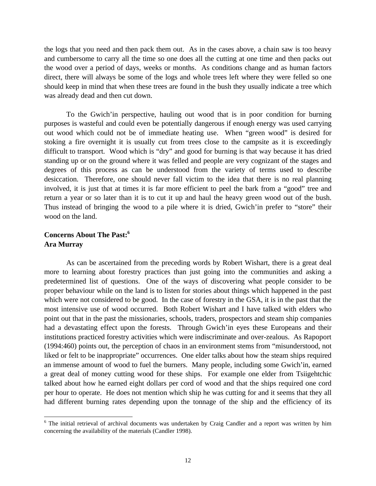the logs that you need and then pack them out. As in the cases above, a chain saw is too heavy and cumbersome to carry all the time so one does all the cutting at one time and then packs out the wood over a period of days, weeks or months. As conditions change and as human factors direct, there will always be some of the logs and whole trees left where they were felled so one should keep in mind that when these trees are found in the bush they usually indicate a tree which was already dead and then cut down.

To the Gwich'in perspective, hauling out wood that is in poor condition for burning purposes is wasteful and could even be potentially dangerous if enough energy was used carrying out wood which could not be of immediate heating use. When "green wood" is desired for stoking a fire overnight it is usually cut from trees close to the campsite as it is exceedingly difficult to transport. Wood which is "dry" and good for burning is that way because it has dried standing up or on the ground where it was felled and people are very cognizant of the stages and degrees of this process as can be understood from the variety of terms used to describe desiccation. Therefore, one should never fall victim to the idea that there is no real planning involved, it is just that at times it is far more efficient to peel the bark from a "good" tree and return a year or so later than it is to cut it up and haul the heavy green wood out of the bush. Thus instead of bringing the wood to a pile where it is dried, Gwich'in prefer to "store" their wood on the land.

# **Concerns About The Past:<sup>6</sup> Ara Murray**

 $\overline{a}$ 

As can be ascertained from the preceding words by Robert Wishart, there is a great deal more to learning about forestry practices than just going into the communities and asking a predetermined list of questions. One of the ways of discovering what people consider to be proper behaviour while on the land is to listen for stories about things which happened in the past which were not considered to be good. In the case of forestry in the GSA, it is in the past that the most intensive use of wood occurred. Both Robert Wishart and I have talked with elders who point out that in the past the missionaries, schools, traders, prospectors and steam ship companies had a devastating effect upon the forests. Through Gwich'in eyes these Europeans and their institutions practiced forestry activities which were indiscriminate and over-zealous. As Rapoport (1994:460) points out, the perception of chaos in an environment stems from "misunderstood, not liked or felt to be inappropriate" occurrences. One elder talks about how the steam ships required an immense amount of wood to fuel the burners. Many people, including some Gwich'in, earned a great deal of money cutting wood for these ships. For example one elder from Tsiigehtchic talked about how he earned eight dollars per cord of wood and that the ships required one cord per hour to operate. He does not mention which ship he was cutting for and it seems that they all had different burning rates depending upon the tonnage of the ship and the efficiency of its

<sup>&</sup>lt;sup>6</sup> The initial retrieval of archival documents was undertaken by Craig Candler and a report was written by him concerning the availability of the materials (Candler 1998).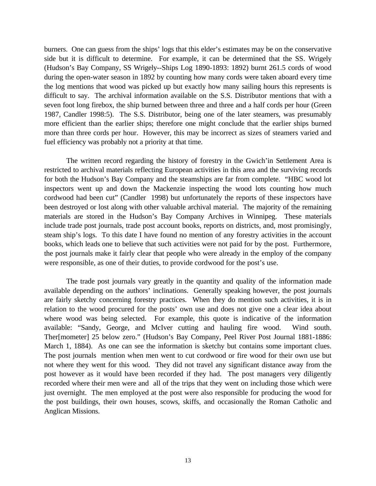burners. One can guess from the ships' logs that this elder's estimates may be on the conservative side but it is difficult to determine. For example, it can be determined that the SS. Wrigely (Hudson's Bay Company, SS Wrigely--Ships Log 1890-1893: 1892) burnt 261.5 cords of wood during the open-water season in 1892 by counting how many cords were taken aboard every time the log mentions that wood was picked up but exactly how many sailing hours this represents is difficult to say. The archival information available on the S.S. Distributor mentions that with a seven foot long firebox, the ship burned between three and three and a half cords per hour (Green 1987, Candler 1998:5). The S.S. Distributor, being one of the later steamers, was presumably more efficient than the earlier ships; therefore one might conclude that the earlier ships burned more than three cords per hour. However, this may be incorrect as sizes of steamers varied and fuel efficiency was probably not a priority at that time.

The written record regarding the history of forestry in the Gwich'in Settlement Area is restricted to archival materials reflecting European activities in this area and the surviving records for both the Hudson's Bay Company and the steamships are far from complete. "HBC wood lot inspectors went up and down the Mackenzie inspecting the wood lots counting how much cordwood had been cut" (Candler 1998) but unfortunately the reports of these inspectors have been destroyed or lost along with other valuable archival material. The majority of the remaining materials are stored in the Hudson's Bay Company Archives in Winnipeg. These materials include trade post journals, trade post account books, reports on districts, and, most promisingly, steam ship's logs. To this date I have found no mention of any forestry activities in the account books, which leads one to believe that such activities were not paid for by the post. Furthermore, the post journals make it fairly clear that people who were already in the employ of the company were responsible, as one of their duties, to provide cordwood for the post's use.

The trade post journals vary greatly in the quantity and quality of the information made available depending on the authors' inclinations. Generally speaking however, the post journals are fairly sketchy concerning forestry practices. When they do mention such activities, it is in relation to the wood procured for the posts' own use and does not give one a clear idea about where wood was being selected. For example, this quote is indicative of the information available: "Sandy, George, and McIver cutting and hauling fire wood. Wind south. Ther[mometer] 25 below zero." (Hudson's Bay Company, Peel River Post Journal 1881-1886: March 1, 1884). As one can see the information is sketchy but contains some important clues. The post journals mention when men went to cut cordwood or fire wood for their own use but not where they went for this wood. They did not travel any significant distance away from the post however as it would have been recorded if they had. The post managers very diligently recorded where their men were and all of the trips that they went on including those which were just overnight. The men employed at the post were also responsible for producing the wood for the post buildings, their own houses, scows, skiffs, and occasionally the Roman Catholic and Anglican Missions.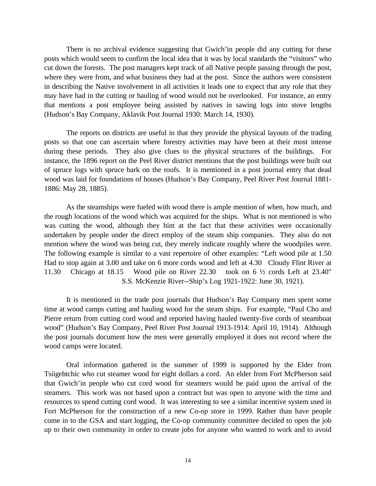There is no archival evidence suggesting that Gwich'in people did any cutting for these posts which would seem to confirm the local idea that it was by local standards the "visitors" who cut down the forests. The post managers kept track of all Native people passing through the post, where they were from, and what business they had at the post. Since the authors were consistent in describing the Native involvement in all activities it leads one to expect that any role that they may have had in the cutting or hauling of wood would not be overlooked. For instance, an entry that mentions a post employee being assisted by natives in sawing logs into stove lengths (Hudson's Bay Company, Aklavik Post Journal 1930: March 14, 1930).

The reports on districts are useful in that they provide the physical layouts of the trading posts so that one can ascertain where forestry activities may have been at their most intense during these periods. They also give clues to the physical structures of the buildings. For instance, the 1896 report on the Peel River district mentions that the post buildings were built out of spruce logs with spruce bark on the roofs. It is mentioned in a post journal entry that dead wood was laid for foundations of houses (Hudson's Bay Company, Peel River Post Journal 1881- 1886: May 28, 1885).

As the steamships were fueled with wood there is ample mention of when, how much, and the rough locations of the wood which was acquired for the ships. What is not mentioned is who was cutting the wood, although they hint at the fact that these activities were occasionally undertaken by people under the direct employ of the steam ship companies. They also do not mention where the wood was being cut, they merely indicate roughly where the woodpiles were. The following example is similar to a vast repertoire of other examples: "Left wood pile at 1.50 Had to stop again at 3.00 and take on 6 more cords wood and left at 4.30 Cloudy Flint River at 11.30 Chicago at 18.15 Wood pile on River 22.30 took on 6 ½ cords Left at 23.40" S.S. McKenzie River--Ship's Log 1921-1922: June 30, 1921).

It is mentioned in the trade post journals that Hudson's Bay Company men spent some time at wood camps cutting and hauling wood for the steam ships. For example, "Paul Cho and Pierre return from cutting cord wood and reported having hauled twenty-five cords of steamboat wood" (Hudson's Bay Company, Peel River Post Journal 1913-1914: April 10, 1914). Although the post journals document how the men were generally employed it does not record where the wood camps were located.

Oral information gathered in the summer of 1999 is supported by the Elder from Tsiigehtchic who cut steamer wood for eight dollars a cord. An elder from Fort McPherson said that Gwich'in people who cut cord wood for steamers would be paid upon the arrival of the steamers. This work was not based upon a contract but was open to anyone with the time and resources to spend cutting cord wood. It was interesting to see a similar incentive system used in Fort McPherson for the construction of a new Co-op store in 1999. Rather than have people come in to the GSA and start logging, the Co-op community committee decided to open the job up to their own community in order to create jobs for anyone who wanted to work and to avoid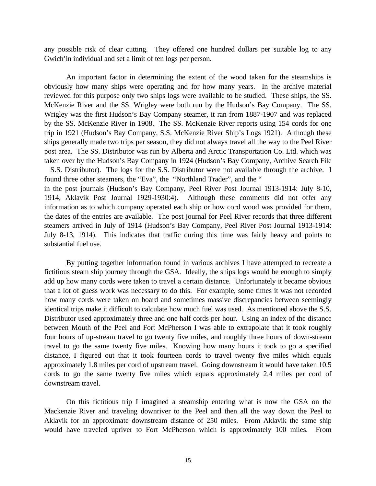any possible risk of clear cutting. They offered one hundred dollars per suitable log to any Gwich'in individual and set a limit of ten logs per person.

An important factor in determining the extent of the wood taken for the steamships is obviously how many ships were operating and for how many years. In the archive material reviewed for this purpose only two ships logs were available to be studied. These ships, the SS. McKenzie River and the SS. Wrigley were both run by the Hudson's Bay Company. The SS. Wrigley was the first Hudson's Bay Company steamer, it ran from 1887-1907 and was replaced by the SS. McKenzie River in 1908. The SS. McKenzie River reports using 154 cords for one trip in 1921 (Hudson's Bay Company, S.S. McKenzie River Ship's Logs 1921). Although these ships generally made two trips per season, they did not always travel all the way to the Peel River post area. The SS. Distributor was run by Alberta and Arctic Transportation Co. Ltd. which was taken over by the Hudson's Bay Company in 1924 (Hudson's Bay Company, Archive Search File S.S. Distributor). The logs for the S.S. Distributor were not available through the archive. I

found three other steamers, the "Eva", the "Northland Trader", and the " in the post journals (Hudson's Bay Company, Peel River Post Journal 1913-1914: July 8-10, 1914, Aklavik Post Journal 1929-1930:4). Although these comments did not offer any information as to which company operated each ship or how cord wood was provided for them, the dates of the entries are available. The post journal for Peel River records that three different steamers arrived in July of 1914 (Hudson's Bay Company, Peel River Post Journal 1913-1914: July 8-13, 1914). This indicates that traffic during this time was fairly heavy and points to substantial fuel use.

By putting together information found in various archives I have attempted to recreate a fictitious steam ship journey through the GSA. Ideally, the ships logs would be enough to simply add up how many cords were taken to travel a certain distance. Unfortunately it became obvious that a lot of guess work was necessary to do this. For example, some times it was not recorded how many cords were taken on board and sometimes massive discrepancies between seemingly identical trips make it difficult to calculate how much fuel was used. As mentioned above the S.S. Distributor used approximately three and one half cords per hour. Using an index of the distance between Mouth of the Peel and Fort McPherson I was able to extrapolate that it took roughly four hours of up-stream travel to go twenty five miles, and roughly three hours of down-stream travel to go the same twenty five miles. Knowing how many hours it took to go a specified distance, I figured out that it took fourteen cords to travel twenty five miles which equals approximately 1.8 miles per cord of upstream travel. Going downstream it would have taken 10.5 cords to go the same twenty five miles which equals approximately 2.4 miles per cord of downstream travel.

On this fictitious trip I imagined a steamship entering what is now the GSA on the Mackenzie River and traveling downriver to the Peel and then all the way down the Peel to Aklavik for an approximate downstream distance of 250 miles. From Aklavik the same ship would have traveled upriver to Fort McPherson which is approximately 100 miles. From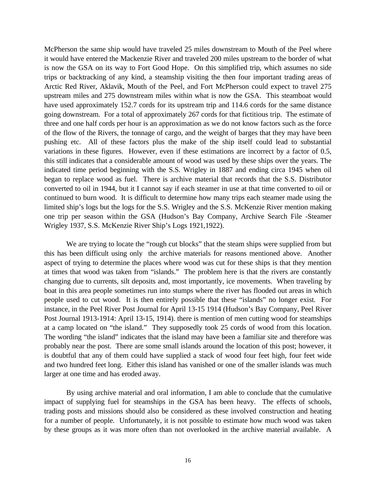McPherson the same ship would have traveled 25 miles downstream to Mouth of the Peel where it would have entered the Mackenzie River and traveled 200 miles upstream to the border of what is now the GSA on its way to Fort Good Hope. On this simplified trip, which assumes no side trips or backtracking of any kind, a steamship visiting the then four important trading areas of Arctic Red River, Aklavik, Mouth of the Peel, and Fort McPherson could expect to travel 275 upstream miles and 275 downstream miles within what is now the GSA. This steamboat would have used approximately 152.7 cords for its upstream trip and 114.6 cords for the same distance going downstream. For a total of approximately 267 cords for that fictitious trip. The estimate of three and one half cords per hour is an approximation as we do not know factors such as the force of the flow of the Rivers, the tonnage of cargo, and the weight of barges that they may have been pushing etc. All of these factors plus the make of the ship itself could lead to substantial variations in these figures. However, even if these estimations are incorrect by a factor of 0.5, this still indicates that a considerable amount of wood was used by these ships over the years. The indicated time period beginning with the S.S. Wrigley in 1887 and ending circa 1945 when oil began to replace wood as fuel. There is archive material that records that the S.S. Distributor converted to oil in 1944, but it I cannot say if each steamer in use at that time converted to oil or continued to burn wood. It is difficult to determine how many trips each steamer made using the limited ship's logs but the logs for the S.S. Wrigley and the S.S. McKenzie River mention making one trip per season within the GSA (Hudson's Bay Company, Archive Search File -Steamer Wrigley 1937, S.S. McKenzie River Ship's Logs 1921,1922).

We are trying to locate the "rough cut blocks" that the steam ships were supplied from but this has been difficult using only the archive materials for reasons mentioned above. Another aspect of trying to determine the places where wood was cut for these ships is that they mention at times that wood was taken from "islands." The problem here is that the rivers are constantly changing due to currents, silt deposits and, most importantly, ice movements. When traveling by boat in this area people sometimes run into stumps where the river has flooded out areas in which people used to cut wood. It is then entirely possible that these "islands" no longer exist. For instance, in the Peel River Post Journal for April 13-15 1914 (Hudson's Bay Company, Peel River Post Journal 1913-1914: April 13-15, 1914). there is mention of men cutting wood for steamships at a camp located on "the island." They supposedly took 25 cords of wood from this location. The wording "the island" indicates that the island may have been a familiar site and therefore was probably near the post. There are some small islands around the location of this post; however, it is doubtful that any of them could have supplied a stack of wood four feet high, four feet wide and two hundred feet long. Either this island has vanished or one of the smaller islands was much larger at one time and has eroded away.

By using archive material and oral information, I am able to conclude that the cumulative impact of supplying fuel for steamships in the GSA has been heavy. The effects of schools, trading posts and missions should also be considered as these involved construction and heating for a number of people. Unfortunately, it is not possible to estimate how much wood was taken by these groups as it was more often than not overlooked in the archive material available. A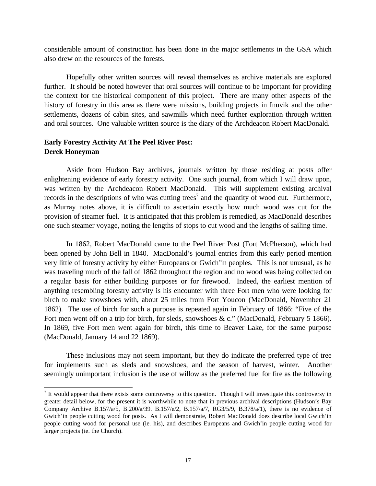considerable amount of construction has been done in the major settlements in the GSA which also drew on the resources of the forests.

Hopefully other written sources will reveal themselves as archive materials are explored further. It should be noted however that oral sources will continue to be important for providing the context for the historical component of this project. There are many other aspects of the history of forestry in this area as there were missions, building projects in Inuvik and the other settlements, dozens of cabin sites, and sawmills which need further exploration through written and oral sources. One valuable written source is the diary of the Archdeacon Robert MacDonald.

### **Early Forestry Activity At The Peel River Post: Derek Honeyman**

 $\overline{a}$ 

Aside from Hudson Bay archives, journals written by those residing at posts offer enlightening evidence of early forestry activity. One such journal, from which I will draw upon, was written by the Archdeacon Robert MacDonald. This will supplement existing archival records in the descriptions of who was cutting trees<sup>7</sup> and the quantity of wood cut. Furthermore, as Murray notes above, it is difficult to ascertain exactly how much wood was cut for the provision of steamer fuel. It is anticipated that this problem is remedied, as MacDonald describes one such steamer voyage, noting the lengths of stops to cut wood and the lengths of sailing time.

In 1862, Robert MacDonald came to the Peel River Post (Fort McPherson), which had been opened by John Bell in 1840. MacDonald's journal entries from this early period mention very little of forestry activity by either Europeans or Gwich'in peoples. This is not unusual, as he was traveling much of the fall of 1862 throughout the region and no wood was being collected on a regular basis for either building purposes or for firewood. Indeed, the earliest mention of anything resembling forestry activity is his encounter with three Fort men who were looking for birch to make snowshoes with, about 25 miles from Fort Youcon (MacDonald, November 21 1862). The use of birch for such a purpose is repeated again in February of 1866: "Five of the Fort men went off on a trip for birch, for sleds, snowshoes & c." (MacDonald, February 5 1866). In 1869, five Fort men went again for birch, this time to Beaver Lake, for the same purpose (MacDonald, January 14 and 22 1869).

These inclusions may not seem important, but they do indicate the preferred type of tree for implements such as sleds and snowshoes, and the season of harvest, winter. Another seemingly unimportant inclusion is the use of willow as the preferred fuel for fire as the following

It would appear that there exists some controversy to this question. Though I will investigate this controversy in greater detail below, for the present it is worthwhile to note that in previous archival descriptions (Hudson's Bay Company Archive B.157/a/5, B.200/a/39. B.157/e/2, B.157/a/7, RG3/5/9, B.378/a/1), there is no evidence of Gwich'in people cutting wood for posts. As I will demonstrate, Robert MacDonald does describe local Gwich'in people cutting wood for personal use (ie. his), and describes Europeans and Gwich'in people cutting wood for larger projects (ie. the Church).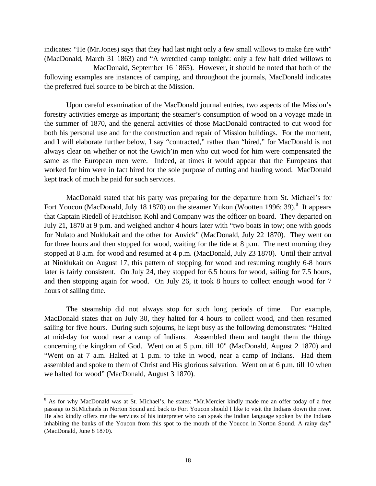indicates: "He (Mr.Jones) says that they had last night only a few small willows to make fire with" (MacDonald, March 31 1863) and "A wretched camp tonight: only a few half dried willows to MacDonald, September 16 1865). However, it should be noted that both of the following examples are instances of camping, and throughout the journals, MacDonald indicates

the preferred fuel source to be birch at the Mission.

 $\overline{a}$ 

Upon careful examination of the MacDonald journal entries, two aspects of the Mission's forestry activities emerge as important; the steamer's consumption of wood on a voyage made in the summer of 1870, and the general activities of those MacDonald contracted to cut wood for both his personal use and for the construction and repair of Mission buildings. For the moment, and I will elaborate further below, I say "contracted," rather than "hired," for MacDonald is not always clear on whether or not the Gwich'in men who cut wood for him were compensated the same as the European men were. Indeed, at times it would appear that the Europeans that worked for him were in fact hired for the sole purpose of cutting and hauling wood. MacDonald kept track of much he paid for such services.

MacDonald stated that his party was preparing for the departure from St. Michael's for Fort Youcon (MacDonald, July 18 1870) on the steamer Yukon (Wootten 1996: 39).<sup>8</sup> It appears that Captain Riedell of Hutchison Kohl and Company was the officer on board. They departed on July 21, 1870 at 9 p.m. and weighed anchor 4 hours later with "two boats in tow; one with goods for Nulato and Nuklukait and the other for Anvick" (MacDonald, July 22 1870). They went on for three hours and then stopped for wood, waiting for the tide at 8 p.m. The next morning they stopped at 8 a.m. for wood and resumed at 4 p.m. (MacDonald, July 23 1870). Until their arrival at Ninklukait on August 17, this pattern of stopping for wood and resuming roughly 6-8 hours later is fairly consistent. On July 24, they stopped for 6.5 hours for wood, sailing for 7.5 hours, and then stopping again for wood. On July 26, it took 8 hours to collect enough wood for 7 hours of sailing time.

The steamship did not always stop for such long periods of time. For example, MacDonald states that on July 30, they halted for 4 hours to collect wood, and then resumed sailing for five hours. During such sojourns, he kept busy as the following demonstrates: "Halted at mid-day for wood near a camp of Indians. Assembled them and taught them the things concerning the kingdom of God. Went on at 5 p.m. till 10" (MacDonald, August 2 1870) and "Went on at 7 a.m. Halted at 1 p.m. to take in wood, near a camp of Indians. Had them assembled and spoke to them of Christ and His glorious salvation. Went on at 6 p.m. till 10 when we halted for wood" (MacDonald, August 3 1870).

<sup>&</sup>lt;sup>8</sup> As for why MacDonald was at St. Michael's, he states: "Mr.Mercier kindly made me an offer today of a free passage to St.Michaels in Norton Sound and back to Fort Youcon should I like to visit the Indians down the river. He also kindly offers me the services of his interpreter who can speak the Indian language spoken by the Indians inhabiting the banks of the Youcon from this spot to the mouth of the Youcon in Norton Sound. A rainy day" (MacDonald, June 8 1870).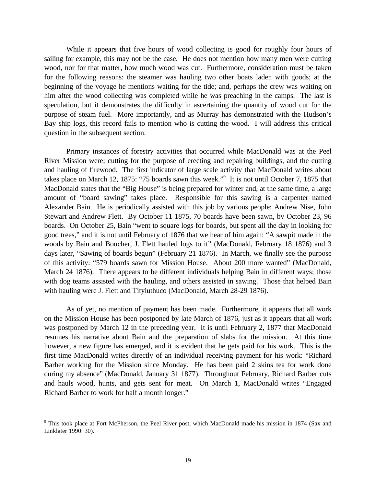While it appears that five hours of wood collecting is good for roughly four hours of sailing for example, this may not be the case. He does not mention how many men were cutting wood, nor for that matter, how much wood was cut. Furthermore, consideration must be taken for the following reasons: the steamer was hauling two other boats laden with goods; at the beginning of the voyage he mentions waiting for the tide; and, perhaps the crew was waiting on him after the wood collecting was completed while he was preaching in the camps. The last is speculation, but it demonstrates the difficulty in ascertaining the quantity of wood cut for the purpose of steam fuel. More importantly, and as Murray has demonstrated with the Hudson's Bay ship logs, this record fails to mention who is cutting the wood. I will address this critical question in the subsequent section.

Primary instances of forestry activities that occurred while MacDonald was at the Peel River Mission were; cutting for the purpose of erecting and repairing buildings, and the cutting and hauling of firewood. The first indicator of large scale activity that MacDonald writes about takes place on March 12, 1875: "75 boards sawn this week."<sup>9</sup> It is not until October 7, 1875 that MacDonald states that the "Big House" is being prepared for winter and, at the same time, a large amount of "board sawing" takes place. Responsible for this sawing is a carpenter named Alexander Bain. He is periodically assisted with this job by various people: Andrew Nise, John Stewart and Andrew Flett. By October 11 1875, 70 boards have been sawn, by October 23, 96 boards. On October 25, Bain "went to square logs for boards, but spent all the day in looking for good trees," and it is not until February of 1876 that we hear of him again: "A sawpit made in the woods by Bain and Boucher, J. Flett hauled logs to it" (MacDonald, February 18 1876) and 3 days later, "Sawing of boards begun" (February 21 1876). In March, we finally see the purpose of this activity: "579 boards sawn for Mission House. About 200 more wanted" (MacDonald, March 24 1876). There appears to be different individuals helping Bain in different ways; those with dog teams assisted with the hauling, and others assisted in sawing. Those that helped Bain with hauling were J. Flett and Tityiuthuco (MacDonald, March 28-29 1876).

As of yet, no mention of payment has been made. Furthermore, it appears that all work on the Mission House has been postponed by late March of 1876, just as it appears that all work was postponed by March 12 in the preceding year. It is until February 2, 1877 that MacDonald resumes his narrative about Bain and the preparation of slabs for the mission. At this time however, a new figure has emerged, and it is evident that he gets paid for his work. This is the first time MacDonald writes directly of an individual receiving payment for his work: "Richard Barber working for the Mission since Monday. He has been paid 2 skins tea for work done during my absence" (MacDonald, January 31 1877). Throughout February, Richard Barber cuts and hauls wood, hunts, and gets sent for meat. On March 1, MacDonald writes "Engaged Richard Barber to work for half a month longer."

 $\overline{a}$ 

<sup>&</sup>lt;sup>9</sup> This took place at Fort McPherson, the Peel River post, which MacDonald made his mission in 1874 (Sax and Linklater 1990: 30).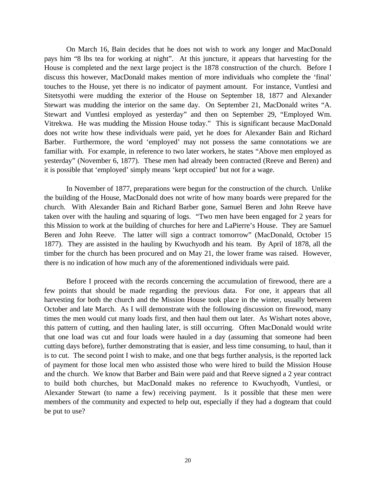On March 16, Bain decides that he does not wish to work any longer and MacDonald pays him "8 lbs tea for working at night". At this juncture, it appears that harvesting for the House is completed and the next large project is the 1878 construction of the church. Before I discuss this however, MacDonald makes mention of more individuals who complete the 'final' touches to the House, yet there is no indicator of payment amount. For instance, Vuntlesi and Sitetsyothi were mudding the exterior of the House on September 18, 1877 and Alexander Stewart was mudding the interior on the same day. On September 21, MacDonald writes "A. Stewart and Vuntlesi employed as yesterday" and then on September 29, "Employed Wm. Vitrekwa. He was mudding the Mission House today." This is significant because MacDonald does not write how these individuals were paid, yet he does for Alexander Bain and Richard Barber. Furthermore, the word 'employed' may not possess the same connotations we are familiar with. For example, in reference to two later workers, he states "Above men employed as yesterday" (November 6, 1877). These men had already been contracted (Reeve and Beren) and it is possible that 'employed' simply means 'kept occupied' but not for a wage.

In November of 1877, preparations were begun for the construction of the church. Unlike the building of the House, MacDonald does not write of how many boards were prepared for the church. With Alexander Bain and Richard Barber gone, Samuel Beren and John Reeve have taken over with the hauling and squaring of logs. "Two men have been engaged for 2 years for this Mission to work at the building of churches for here and LaPierre's House. They are Samuel Beren and John Reeve. The latter will sign a contract tomorrow" (MacDonald, October 15 1877). They are assisted in the hauling by Kwuchyodh and his team. By April of 1878, all the timber for the church has been procured and on May 21, the lower frame was raised. However, there is no indication of how much any of the aforementioned individuals were paid.

Before I proceed with the records concerning the accumulation of firewood, there are a few points that should be made regarding the previous data. For one, it appears that all harvesting for both the church and the Mission House took place in the winter, usually between October and late March. As I will demonstrate with the following discussion on firewood, many times the men would cut many loads first, and then haul them out later. As Wishart notes above, this pattern of cutting, and then hauling later, is still occurring. Often MacDonald would write that one load was cut and four loads were hauled in a day (assuming that someone had been cutting days before), further demonstrating that is easier, and less time consuming, to haul, than it is to cut. The second point I wish to make, and one that begs further analysis, is the reported lack of payment for those local men who assisted those who were hired to build the Mission House and the church. We know that Barber and Bain were paid and that Reeve signed a 2 year contract to build both churches, but MacDonald makes no reference to Kwuchyodh, Vuntlesi, or Alexander Stewart (to name a few) receiving payment. Is it possible that these men were members of the community and expected to help out, especially if they had a dogteam that could be put to use?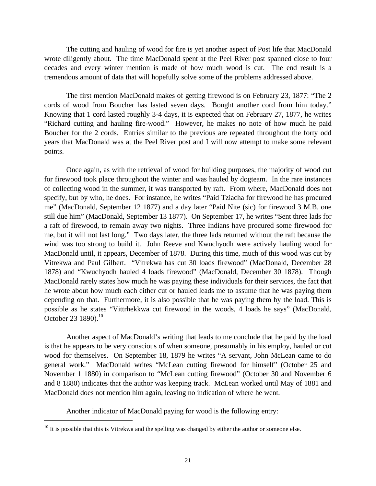The cutting and hauling of wood for fire is yet another aspect of Post life that MacDonald wrote diligently about. The time MacDonald spent at the Peel River post spanned close to four decades and every winter mention is made of how much wood is cut. The end result is a tremendous amount of data that will hopefully solve some of the problems addressed above.

The first mention MacDonald makes of getting firewood is on February 23, 1877: "The 2 cords of wood from Boucher has lasted seven days. Bought another cord from him today." Knowing that 1 cord lasted roughly 3-4 days, it is expected that on February 27, 1877, he writes "Richard cutting and hauling fire-wood." However, he makes no note of how much he paid Boucher for the 2 cords. Entries similar to the previous are repeated throughout the forty odd years that MacDonald was at the Peel River post and I will now attempt to make some relevant points.

Once again, as with the retrieval of wood for building purposes, the majority of wood cut for firewood took place throughout the winter and was hauled by dogteam. In the rare instances of collecting wood in the summer, it was transported by raft. From where, MacDonald does not specify, but by who, he does. For instance, he writes "Paid Tziacha for firewood he has procured me" (MacDonald, September 12 1877) and a day later "Paid Nite (sic) for firewood 3 M.B. one still due him" (MacDonald, September 13 1877). On September 17, he writes "Sent three lads for a raft of firewood, to remain away two nights. Three Indians have procured some firewood for me, but it will not last long." Two days later, the three lads returned without the raft because the wind was too strong to build it. John Reeve and Kwuchyodh were actively hauling wood for MacDonald until, it appears, December of 1878. During this time, much of this wood was cut by Vitrekwa and Paul Gilbert. "Vitrekwa has cut 30 loads firewood" (MacDonald, December 28 1878) and "Kwuchyodh hauled 4 loads firewood" (MacDonald, December 30 1878). Though MacDonald rarely states how much he was paying these individuals for their services, the fact that he wrote about how much each either cut or hauled leads me to assume that he was paying them depending on that. Furthermore, it is also possible that he was paying them by the load. This is possible as he states "Vittrhekkwa cut firewood in the woods, 4 loads he says" (MacDonald, October 23 1890).<sup>10</sup>

Another aspect of MacDonald's writing that leads to me conclude that he paid by the load is that he appears to be very conscious of when someone, presumably in his employ, hauled or cut wood for themselves. On September 18, 1879 he writes "A servant, John McLean came to do general work." MacDonald writes "McLean cutting firewood for himself" (October 25 and November 1 1880) in comparison to "McLean cutting firewood" (October 30 and November 6 and 8 1880) indicates that the author was keeping track. McLean worked until May of 1881 and MacDonald does not mention him again, leaving no indication of where he went.

Another indicator of MacDonald paying for wood is the following entry:

 $\overline{a}$ 

 $10$  It is possible that this is Vitrekwa and the spelling was changed by either the author or someone else.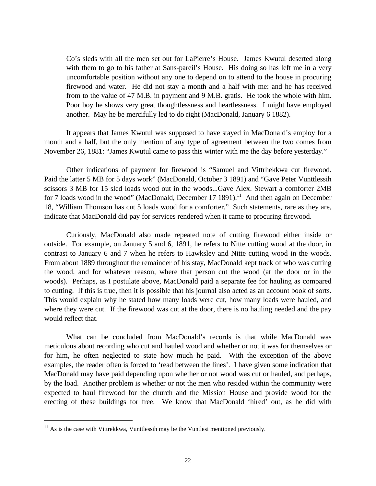Co's sleds with all the men set out for LaPierre's House. James Kwutul deserted along with them to go to his father at Sans-pareil's House. His doing so has left me in a very uncomfortable position without any one to depend on to attend to the house in procuring firewood and water. He did not stay a month and a half with me: and he has received from to the value of 47 M.B. in payment and 9 M.B. gratis. He took the whole with him. Poor boy he shows very great thoughtlessness and heartlessness. I might have employed another. May he be mercifully led to do right (MacDonald, January 6 1882).

It appears that James Kwutul was supposed to have stayed in MacDonald's employ for a month and a half, but the only mention of any type of agreement between the two comes from November 26, 1881: "James Kwutul came to pass this winter with me the day before yesterday."

Other indications of payment for firewood is "Samuel and Vittrhekkwa cut firewood. Paid the latter 5 MB for 5 days work" (MacDonald, October 3 1891) and "Gave Peter Vunttlessih scissors 3 MB for 15 sled loads wood out in the woods...Gave Alex. Stewart a comforter 2MB for 7 loads wood in the wood" (MacDonald, December 17 1891).<sup>11</sup> And then again on December 18, "William Thomson has cut 5 loads wood for a comforter." Such statements, rare as they are, indicate that MacDonald did pay for services rendered when it came to procuring firewood.

Curiously, MacDonald also made repeated note of cutting firewood either inside or outside. For example, on January 5 and 6, 1891, he refers to Nitte cutting wood at the door, in contrast to January 6 and 7 when he refers to Hawksley and Nitte cutting wood in the woods. From about 1889 throughout the remainder of his stay, MacDonald kept track of who was cutting the wood, and for whatever reason, where that person cut the wood (at the door or in the woods). Perhaps, as I postulate above, MacDonald paid a separate fee for hauling as compared to cutting. If this is true, then it is possible that his journal also acted as an account book of sorts. This would explain why he stated how many loads were cut, how many loads were hauled, and where they were cut. If the firewood was cut at the door, there is no hauling needed and the pay would reflect that.

What can be concluded from MacDonald's records is that while MacDonald was meticulous about recording who cut and hauled wood and whether or not it was for themselves or for him, he often neglected to state how much he paid. With the exception of the above examples, the reader often is forced to 'read between the lines'. I have given some indication that MacDonald may have paid depending upon whether or not wood was cut or hauled, and perhaps, by the load. Another problem is whether or not the men who resided within the community were expected to haul firewood for the church and the Mission House and provide wood for the erecting of these buildings for free. We know that MacDonald 'hired' out, as he did with

1

 $11$  As is the case with Vittrekkwa, Vunttlessih may be the Vuntlesi mentioned previously.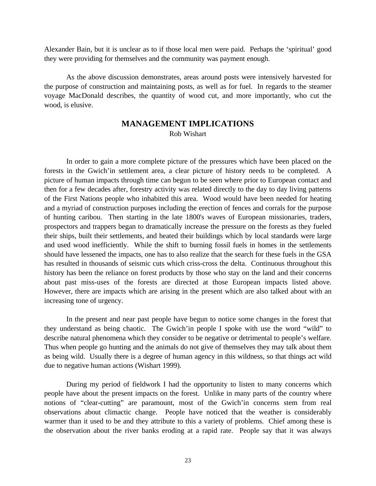Alexander Bain, but it is unclear as to if those local men were paid. Perhaps the 'spiritual' good they were providing for themselves and the community was payment enough.

As the above discussion demonstrates, areas around posts were intensively harvested for the purpose of construction and maintaining posts, as well as for fuel. In regards to the steamer voyage MacDonald describes, the quantity of wood cut, and more importantly, who cut the wood, is elusive.

#### **MANAGEMENT IMPLICATIONS** Rob Wishart

In order to gain a more complete picture of the pressures which have been placed on the forests in the Gwich'in settlement area, a clear picture of history needs to be completed. A picture of human impacts through time can begun to be seen where prior to European contact and then for a few decades after, forestry activity was related directly to the day to day living patterns of the First Nations people who inhabited this area. Wood would have been needed for heating and a myriad of construction purposes including the erection of fences and corrals for the purpose of hunting caribou. Then starting in the late 1800's waves of European missionaries, traders, prospectors and trappers began to dramatically increase the pressure on the forests as they fueled their ships, built their settlements, and heated their buildings which by local standards were large and used wood inefficiently. While the shift to burning fossil fuels in homes in the settlements should have lessened the impacts, one has to also realize that the search for these fuels in the GSA has resulted in thousands of seismic cuts which criss-cross the delta. Continuous throughout this history has been the reliance on forest products by those who stay on the land and their concerns about past miss-uses of the forests are directed at those European impacts listed above. However, there are impacts which are arising in the present which are also talked about with an increasing tone of urgency.

In the present and near past people have begun to notice some changes in the forest that they understand as being chaotic. The Gwich'in people I spoke with use the word "wild" to describe natural phenomena which they consider to be negative or detrimental to people's welfare. Thus when people go hunting and the animals do not give of themselves they may talk about them as being wild. Usually there is a degree of human agency in this wildness, so that things act wild due to negative human actions (Wishart 1999).

During my period of fieldwork I had the opportunity to listen to many concerns which people have about the present impacts on the forest. Unlike in many parts of the country where notions of "clear-cutting" are paramount, most of the Gwich'in concerns stem from real observations about climactic change. People have noticed that the weather is considerably warmer than it used to be and they attribute to this a variety of problems. Chief among these is the observation about the river banks eroding at a rapid rate. People say that it was always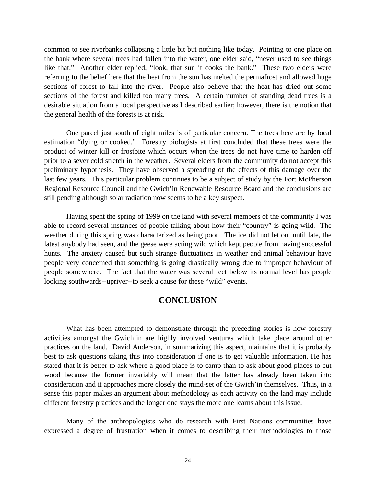common to see riverbanks collapsing a little bit but nothing like today. Pointing to one place on the bank where several trees had fallen into the water, one elder said, "never used to see things like that." Another elder replied, "look, that sun it cooks the bank." These two elders were referring to the belief here that the heat from the sun has melted the permafrost and allowed huge sections of forest to fall into the river. People also believe that the heat has dried out some sections of the forest and killed too many trees. A certain number of standing dead trees is a desirable situation from a local perspective as I described earlier; however, there is the notion that the general health of the forests is at risk.

One parcel just south of eight miles is of particular concern. The trees here are by local estimation "dying or cooked." Forestry biologists at first concluded that these trees were the product of winter kill or frostbite which occurs when the trees do not have time to harden off prior to a sever cold stretch in the weather. Several elders from the community do not accept this preliminary hypothesis. They have observed a spreading of the effects of this damage over the last few years. This particular problem continues to be a subject of study by the Fort McPherson Regional Resource Council and the Gwich'in Renewable Resource Board and the conclusions are still pending although solar radiation now seems to be a key suspect.

Having spent the spring of 1999 on the land with several members of the community I was able to record several instances of people talking about how their "country" is going wild. The weather during this spring was characterized as being poor. The ice did not let out until late, the latest anybody had seen, and the geese were acting wild which kept people from having successful hunts. The anxiety caused but such strange fluctuations in weather and animal behaviour have people very concerned that something is going drastically wrong due to improper behaviour of people somewhere. The fact that the water was several feet below its normal level has people looking southwards--upriver--to seek a cause for these "wild" events.

#### **CONCLUSION**

What has been attempted to demonstrate through the preceding stories is how forestry activities amongst the Gwich'in are highly involved ventures which take place around other practices on the land. David Anderson, in summarizing this aspect, maintains that it is probably best to ask questions taking this into consideration if one is to get valuable information. He has stated that it is better to ask where a good place is to camp than to ask about good places to cut wood because the former invariably will mean that the latter has already been taken into consideration and it approaches more closely the mind-set of the Gwich'in themselves. Thus, in a sense this paper makes an argument about methodology as each activity on the land may include different forestry practices and the longer one stays the more one learns about this issue.

Many of the anthropologists who do research with First Nations communities have expressed a degree of frustration when it comes to describing their methodologies to those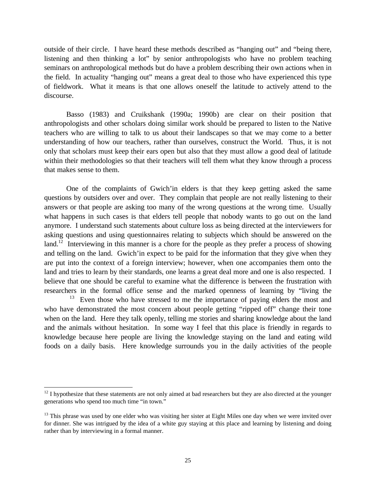outside of their circle. I have heard these methods described as "hanging out" and "being there, listening and then thinking a lot" by senior anthropologists who have no problem teaching seminars on anthropological methods but do have a problem describing their own actions when in the field. In actuality "hanging out" means a great deal to those who have experienced this type of fieldwork. What it means is that one allows oneself the latitude to actively attend to the discourse.

Basso (1983) and Cruikshank (1990a; 1990b) are clear on their position that anthropologists and other scholars doing similar work should be prepared to listen to the Native teachers who are willing to talk to us about their landscapes so that we may come to a better understanding of how our teachers, rather than ourselves, construct the World. Thus, it is not only that scholars must keep their ears open but also that they must allow a good deal of latitude within their methodologies so that their teachers will tell them what they know through a process that makes sense to them.

One of the complaints of Gwich'in elders is that they keep getting asked the same questions by outsiders over and over. They complain that people are not really listening to their answers or that people are asking too many of the wrong questions at the wrong time. Usually what happens in such cases is that elders tell people that nobody wants to go out on the land anymore. I understand such statements about culture loss as being directed at the interviewers for asking questions and using questionnaires relating to subjects which should be answered on the land.<sup>12</sup> Interviewing in this manner is a chore for the people as they prefer a process of showing and telling on the land. Gwich'in expect to be paid for the information that they give when they are put into the context of a foreign interview; however, when one accompanies them onto the land and tries to learn by their standards, one learns a great deal more and one is also respected. I believe that one should be careful to examine what the difference is between the frustration with researchers in the formal office sense and the marked openness of learning by "living the

<sup>13</sup> Even those who have stressed to me the importance of paying elders the most and who have demonstrated the most concern about people getting "ripped off" change their tone when on the land. Here they talk openly, telling me stories and sharing knowledge about the land and the animals without hesitation. In some way I feel that this place is friendly in regards to knowledge because here people are living the knowledge staying on the land and eating wild foods on a daily basis. Here knowledge surrounds you in the daily activities of the people

-

 $12$  I hypothesize that these statements are not only aimed at bad researchers but they are also directed at the younger generations who spend too much time "in town."

 $13$  This phrase was used by one elder who was visiting her sister at Eight Miles one day when we were invited over for dinner. She was intrigued by the idea of a white guy staying at this place and learning by listening and doing rather than by interviewing in a formal manner.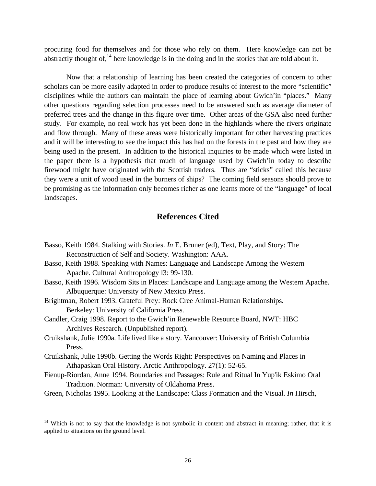procuring food for themselves and for those who rely on them. Here knowledge can not be abstractly thought of,  $14$  here knowledge is in the doing and in the stories that are told about it.

Now that a relationship of learning has been created the categories of concern to other scholars can be more easily adapted in order to produce results of interest to the more "scientific" disciplines while the authors can maintain the place of learning about Gwich'in "places." Many other questions regarding selection processes need to be answered such as average diameter of preferred trees and the change in this figure over time. Other areas of the GSA also need further study. For example, no real work has yet been done in the highlands where the rivers originate and flow through. Many of these areas were historically important for other harvesting practices and it will be interesting to see the impact this has had on the forests in the past and how they are being used in the present. In addition to the historical inquiries to be made which were listed in the paper there is a hypothesis that much of language used by Gwich'in today to describe firewood might have originated with the Scottish traders. Thus are "sticks" called this because they were a unit of wood used in the burners of ships? The coming field seasons should prove to be promising as the information only becomes richer as one learns more of the "language" of local landscapes.

# **References Cited**

- Basso, Keith 1984. Stalking with Stories. *In* E. Bruner (ed), Text, Play, and Story: The Reconstruction of Self and Society. Washington: AAA.
- Basso, Keith 1988. Speaking with Names: Language and Landscape Among the Western Apache. Cultural Anthropology l3: 99-130.
- Basso, Keith 1996. Wisdom Sits in Places: Landscape and Language among the Western Apache. Albuquerque: University of New Mexico Press.
- Brightman, Robert 1993. Grateful Prey: Rock Cree Animal-Human Relationships. Berkeley: University of California Press.
- Candler, Craig 1998. Report to the Gwich'in Renewable Resource Board, NWT: HBC Archives Research. (Unpublished report).
- Cruikshank, Julie 1990a. Life lived like a story. Vancouver: University of British Columbia Press.
- Cruikshank, Julie 1990b. Getting the Words Right: Perspectives on Naming and Places in Athapaskan Oral History. Arctic Anthropology. 27(1): 52-65.
- Fienup-Riordan, Anne 1994. Boundaries and Passages: Rule and Ritual In Yup'ik Eskimo Oral Tradition. Norman: University of Oklahoma Press.
- Green, Nicholas 1995. Looking at the Landscape: Class Formation and the Visual. *In* Hirsch,

-

<sup>&</sup>lt;sup>14</sup> Which is not to say that the knowledge is not symbolic in content and abstract in meaning; rather, that it is applied to situations on the ground level.